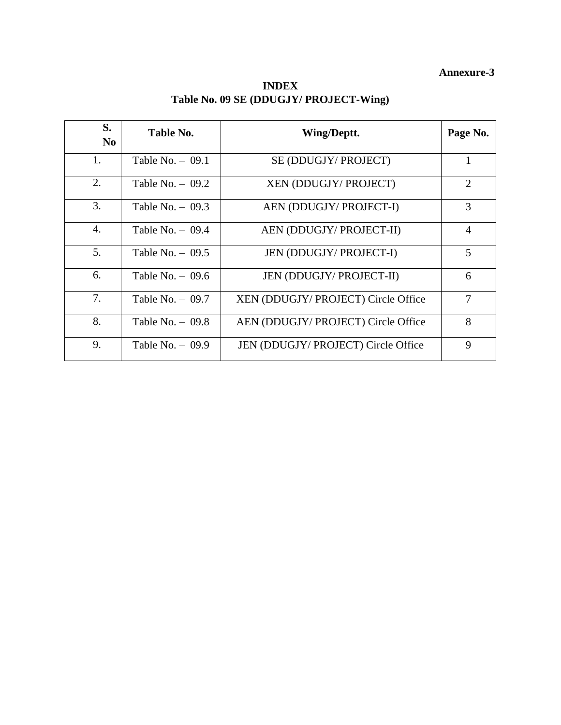# **Annexure-3**

| <b>INDEX</b>                           |
|----------------------------------------|
| Table No. 09 SE (DDUGJY/ PROJECT-Wing) |

| S.<br>N <sub>0</sub> | Table No.          | Wing/Deptt.                         | Page No.       |
|----------------------|--------------------|-------------------------------------|----------------|
| 1.                   | Table No. $-$ 09.1 | SE (DDUGJY/ PROJECT)                |                |
| 2.                   | Table No. $-$ 09.2 | XEN (DDUGJY/ PROJECT)               | 2              |
| 3.                   | Table No. $-$ 09.3 | AEN (DDUGJY/ PROJECT-I)             | 3              |
| 4.                   | Table No. $-$ 09.4 | AEN (DDUGJY/ PROJECT-II)            | $\overline{4}$ |
| 5.                   | Table No. $-$ 09.5 | <b>JEN (DDUGJY/ PROJECT-I)</b>      | 5              |
| 6.                   | Table No. $-$ 09.6 | <b>JEN (DDUGJY/ PROJECT-II)</b>     | 6              |
| 7.                   | Table No. $-$ 09.7 | XEN (DDUGJY/ PROJECT) Circle Office | 7              |
| 8.                   | Table No. $-$ 09.8 | AEN (DDUGJY/ PROJECT) Circle Office | 8              |
| 9.                   | Table No. $-$ 09.9 | JEN (DDUGJY/ PROJECT) Circle Office | 9              |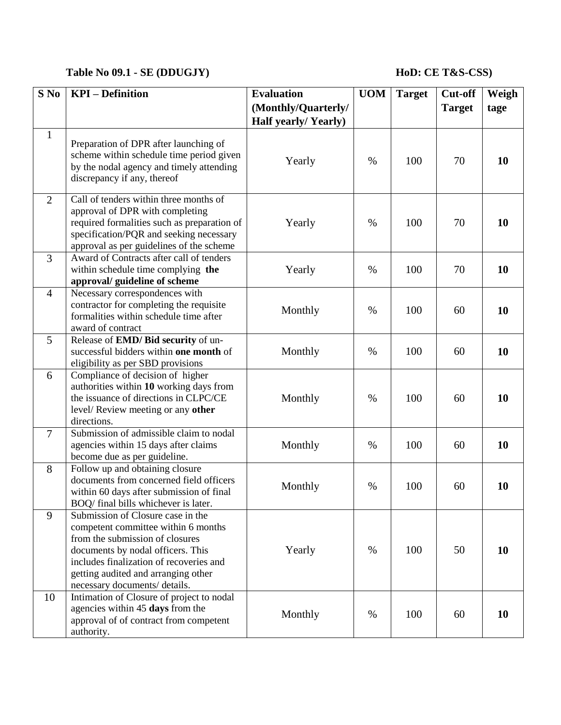## **Table No 09.1 - SE (DDUGJY) HoD: CE T&S-CSS)**

| $S$ No         | <b>KPI</b> – Definition                                                                                                                                                                                                                                             | <b>Evaluation</b>          | <b>UOM</b> | <b>Target</b> | Cut-off       | Weigh     |
|----------------|---------------------------------------------------------------------------------------------------------------------------------------------------------------------------------------------------------------------------------------------------------------------|----------------------------|------------|---------------|---------------|-----------|
|                |                                                                                                                                                                                                                                                                     | (Monthly/Quarterly/        |            |               | <b>Target</b> | tage      |
|                |                                                                                                                                                                                                                                                                     | <b>Half yearly/Yearly)</b> |            |               |               |           |
| $\mathbf{1}$   | Preparation of DPR after launching of<br>scheme within schedule time period given<br>by the nodal agency and timely attending<br>discrepancy if any, thereof                                                                                                        | Yearly                     | $\%$       | 100           | 70            | 10        |
| $\overline{2}$ | Call of tenders within three months of<br>approval of DPR with completing<br>required formalities such as preparation of<br>specification/PQR and seeking necessary<br>approval as per guidelines of the scheme                                                     | Yearly                     | $\%$       | 100           | 70            | 10        |
| $\overline{3}$ | Award of Contracts after call of tenders<br>within schedule time complying the<br>approval/ guideline of scheme                                                                                                                                                     | Yearly                     | $\%$       | 100           | 70            | 10        |
| $\overline{4}$ | Necessary correspondences with<br>contractor for completing the requisite<br>formalities within schedule time after<br>award of contract                                                                                                                            | Monthly                    | $\%$       | 100           | 60            | 10        |
| 5              | Release of EMD/ Bid security of un-<br>successful bidders within one month of<br>eligibility as per SBD provisions                                                                                                                                                  | Monthly                    | $\%$       | 100           | 60            | 10        |
| 6              | Compliance of decision of higher<br>authorities within 10 working days from<br>the issuance of directions in CLPC/CE<br>level/Review meeting or any other<br>directions.                                                                                            | Monthly                    | $\%$       | 100           | 60            | 10        |
| $\overline{7}$ | Submission of admissible claim to nodal<br>agencies within 15 days after claims<br>become due as per guideline.                                                                                                                                                     | Monthly                    | $\%$       | 100           | 60            | 10        |
| 8              | Follow up and obtaining closure<br>documents from concerned field officers<br>within 60 days after submission of final<br>BOQ/ final bills whichever is later.                                                                                                      | Monthly                    | $\%$       | 100           | 60            | 10        |
| 9              | Submission of Closure case in the<br>competent committee within 6 months<br>from the submission of closures<br>documents by nodal officers. This<br>includes finalization of recoveries and<br>getting audited and arranging other<br>necessary documents/ details. | Yearly                     | $\%$       | 100           | 50            | <b>10</b> |
| 10             | Intimation of Closure of project to nodal<br>agencies within 45 days from the<br>approval of of contract from competent<br>authority.                                                                                                                               | Monthly                    | $\%$       | 100           | 60            | 10        |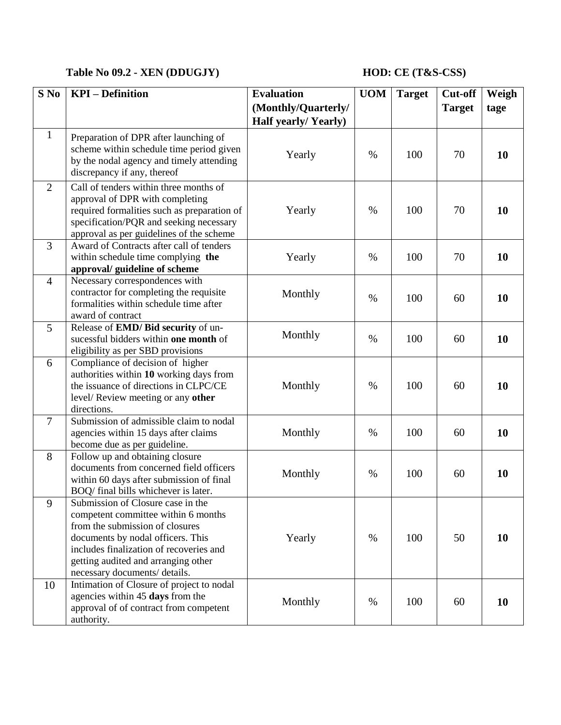# **Table No 09.2 - XEN (DDUGJY) HOD: CE (T&S-CSS)**

| $S$ No         | <b>KPI</b> – Definition                                                                                                                                                                                                                                             | <b>Evaluation</b><br>(Monthly/Quarterly/ | <b>UOM</b> | <b>Target</b> | <b>Cut-off</b><br><b>Target</b> | Weigh<br>tage |
|----------------|---------------------------------------------------------------------------------------------------------------------------------------------------------------------------------------------------------------------------------------------------------------------|------------------------------------------|------------|---------------|---------------------------------|---------------|
|                |                                                                                                                                                                                                                                                                     | Half yearly/Yearly)                      |            |               |                                 |               |
| $\mathbf{1}$   | Preparation of DPR after launching of<br>scheme within schedule time period given<br>by the nodal agency and timely attending<br>discrepancy if any, thereof                                                                                                        | Yearly                                   | $\%$       | 100           | 70                              | 10            |
| $\overline{2}$ | Call of tenders within three months of<br>approval of DPR with completing<br>required formalities such as preparation of<br>specification/PQR and seeking necessary<br>approval as per guidelines of the scheme                                                     | Yearly                                   | $\%$       | 100           | 70                              | 10            |
| $\overline{3}$ | Award of Contracts after call of tenders<br>within schedule time complying the<br>approval/ guideline of scheme                                                                                                                                                     | Yearly                                   | $\%$       | 100           | 70                              | 10            |
| $\overline{4}$ | Necessary correspondences with<br>contractor for completing the requisite<br>formalities within schedule time after<br>award of contract                                                                                                                            | Monthly                                  | $\%$       | 100           | 60                              | 10            |
| 5              | Release of EMD/ Bid security of un-<br>sucessful bidders within one month of<br>eligibility as per SBD provisions                                                                                                                                                   | Monthly                                  | $\%$       | 100           | 60                              | 10            |
| 6              | Compliance of decision of higher<br>authorities within 10 working days from<br>the issuance of directions in CLPC/CE<br>level/Review meeting or any other<br>directions.                                                                                            | Monthly                                  | $\%$       | 100           | 60                              | 10            |
| $\overline{7}$ | Submission of admissible claim to nodal<br>agencies within 15 days after claims<br>become due as per guideline.                                                                                                                                                     | Monthly                                  | $\%$       | 100           | 60                              | 10            |
| 8              | Follow up and obtaining closure<br>documents from concerned field officers<br>within 60 days after submission of final<br>BOQ/ final bills whichever is later.                                                                                                      | Monthly                                  | %          | 100           | 60                              | 10            |
| 9              | Submission of Closure case in the<br>competent committee within 6 months<br>from the submission of closures<br>documents by nodal officers. This<br>includes finalization of recoveries and<br>getting audited and arranging other<br>necessary documents/ details. | Yearly                                   | $\%$       | 100           | 50                              | 10            |
| 10             | Intimation of Closure of project to nodal<br>agencies within 45 days from the<br>approval of of contract from competent<br>authority.                                                                                                                               | Monthly                                  | %          | 100           | 60                              | 10            |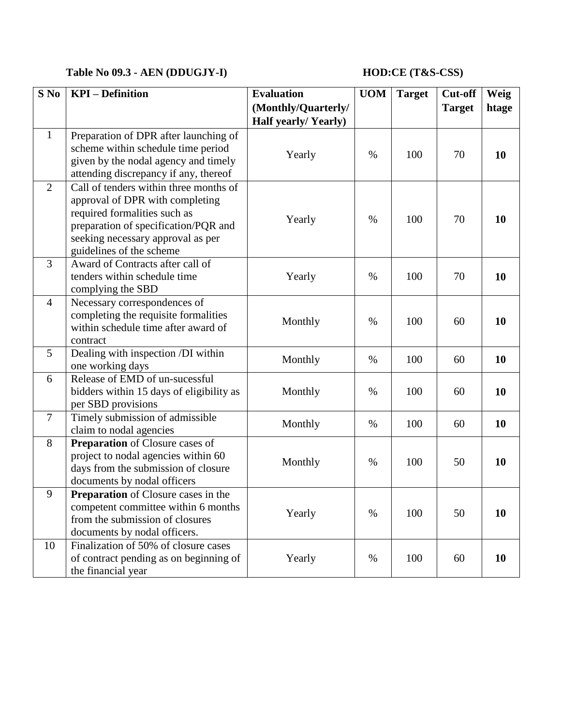# **Table No 09.3 - AEN (DDUGJY-I) HOD:CE (T&S-CSS)**

| $S$ No         | <b>KPI</b> – Definition                                                                                                                                                                                            | <b>Evaluation</b><br>(Monthly/Quarterly/<br>Half yearly/Yearly) | <b>UOM</b> | <b>Target</b> | Cut-off<br><b>Target</b> | Weig<br>htage |
|----------------|--------------------------------------------------------------------------------------------------------------------------------------------------------------------------------------------------------------------|-----------------------------------------------------------------|------------|---------------|--------------------------|---------------|
| $\mathbf{1}$   | Preparation of DPR after launching of<br>scheme within schedule time period<br>given by the nodal agency and timely<br>attending discrepancy if any, thereof                                                       | Yearly                                                          | $\%$       | 100           | 70                       | 10            |
| $\overline{2}$ | Call of tenders within three months of<br>approval of DPR with completing<br>required formalities such as<br>preparation of specification/PQR and<br>seeking necessary approval as per<br>guidelines of the scheme | Yearly                                                          | $\%$       | 100           | 70                       | 10            |
| $\overline{3}$ | Award of Contracts after call of<br>tenders within schedule time<br>complying the SBD                                                                                                                              | Yearly                                                          | $\%$       | 100           | 70                       | 10            |
| $\overline{4}$ | Necessary correspondences of<br>completing the requisite formalities<br>within schedule time after award of<br>contract                                                                                            | Monthly                                                         | $\%$       | 100           | 60                       | 10            |
| 5              | Dealing with inspection /DI within<br>one working days                                                                                                                                                             | Monthly                                                         | $\%$       | 100           | 60                       | 10            |
| 6              | Release of EMD of un-sucessful<br>bidders within 15 days of eligibility as<br>per SBD provisions                                                                                                                   | Monthly                                                         | $\%$       | 100           | 60                       | 10            |
| $\overline{7}$ | Timely submission of admissible<br>claim to nodal agencies                                                                                                                                                         | Monthly                                                         | $\%$       | 100           | 60                       | 10            |
| 8              | <b>Preparation</b> of Closure cases of<br>project to nodal agencies within 60<br>days from the submission of closure<br>documents by nodal officers                                                                | Monthly                                                         | %          | 100           | 50                       | <b>10</b>     |
| 9              | <b>Preparation</b> of Closure cases in the<br>competent committee within 6 months<br>from the submission of closures<br>documents by nodal officers.                                                               | Yearly                                                          | $\%$       | 100           | 50                       | 10            |
| 10             | Finalization of 50% of closure cases<br>of contract pending as on beginning of<br>the financial year                                                                                                               | Yearly                                                          | $\%$       | 100           | 60                       | <b>10</b>     |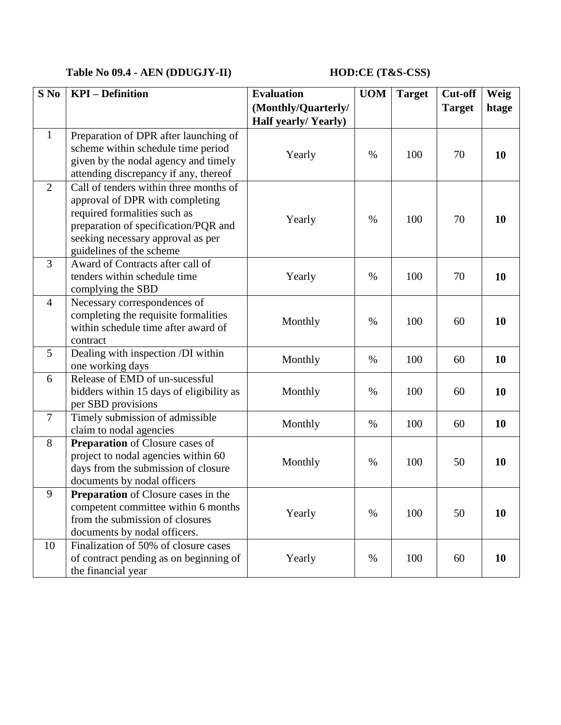# **Table No 09.4 - AEN (DDUGJY-II) HOD:CE (T&S-CSS)**

| $S$ No         | <b>KPI</b> – Definition                                                                                                                                                                                            | <b>Evaluation</b><br>(Monthly/Quarterly/<br><b>Half yearly/Yearly)</b> | <b>UOM</b> | <b>Target</b> | Cut-off<br><b>Target</b> | Weig<br>htage |
|----------------|--------------------------------------------------------------------------------------------------------------------------------------------------------------------------------------------------------------------|------------------------------------------------------------------------|------------|---------------|--------------------------|---------------|
| $\mathbf{1}$   | Preparation of DPR after launching of<br>scheme within schedule time period<br>given by the nodal agency and timely<br>attending discrepancy if any, thereof                                                       | Yearly                                                                 | $\%$       | 100           | 70                       | 10            |
| 2              | Call of tenders within three months of<br>approval of DPR with completing<br>required formalities such as<br>preparation of specification/PQR and<br>seeking necessary approval as per<br>guidelines of the scheme | Yearly                                                                 | %          | 100           | 70                       | 10            |
| 3              | Award of Contracts after call of<br>tenders within schedule time<br>complying the SBD                                                                                                                              | Yearly                                                                 | $\%$       | 100           | 70                       | 10            |
| $\overline{4}$ | Necessary correspondences of<br>completing the requisite formalities<br>within schedule time after award of<br>contract                                                                                            | Monthly                                                                | $\%$       | 100           | 60                       | 10            |
| 5              | Dealing with inspection /DI within<br>one working days                                                                                                                                                             | Monthly                                                                | $\%$       | 100           | 60                       | 10            |
| 6              | Release of EMD of un-sucessful<br>bidders within 15 days of eligibility as<br>per SBD provisions                                                                                                                   | Monthly                                                                | $\%$       | 100           | 60                       | 10            |
| $\overline{7}$ | Timely submission of admissible<br>claim to nodal agencies                                                                                                                                                         | Monthly                                                                | $\%$       | 100           | 60                       | 10            |
| 8              | Preparation of Closure cases of<br>project to nodal agencies within 60<br>days from the submission of closure<br>documents by nodal officers                                                                       | Monthly                                                                | $\%$       | 100           | 50                       | 10            |
| 9              | <b>Preparation</b> of Closure cases in the<br>competent committee within 6 months<br>from the submission of closures<br>documents by nodal officers.                                                               | Yearly                                                                 | $\%$       | 100           | 50                       | 10            |
| 10             | Finalization of 50% of closure cases<br>of contract pending as on beginning of<br>the financial year                                                                                                               | Yearly                                                                 | %          | 100           | 60                       | 10            |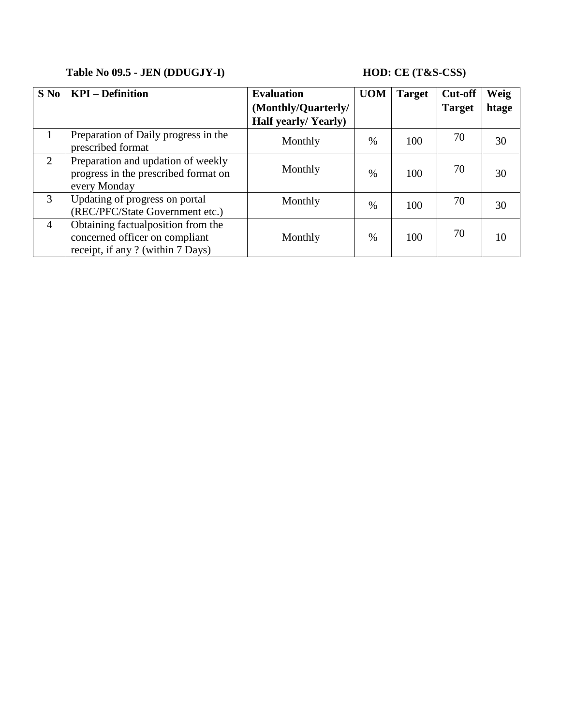# **Table No 09.5 - JEN (DDUGJY-I) HOD: CE (T&S-CSS)**

| $S$ No         | <b>KPI</b> – Definition                                                                                    | <b>Evaluation</b>          | <b>UOM</b> | <b>Target</b> | <b>Cut-off</b> | Weig  |
|----------------|------------------------------------------------------------------------------------------------------------|----------------------------|------------|---------------|----------------|-------|
|                |                                                                                                            | (Monthly/Quarterly/        |            |               | <b>Target</b>  | htage |
|                |                                                                                                            | <b>Half yearly/Yearly)</b> |            |               |                |       |
|                | Preparation of Daily progress in the<br>prescribed format                                                  | Monthly                    | $\%$       | 100           | 70             | 30    |
| 2              | Preparation and updation of weekly<br>progress in the prescribed format on<br>every Monday                 | Monthly                    | $\%$       | 100           | 70             | 30    |
| 3              | Updating of progress on portal<br>(REC/PFC/State Government etc.)                                          | Monthly                    | $\%$       | 100           | 70             | 30    |
| $\overline{4}$ | Obtaining factual position from the<br>concerned officer on compliant<br>receipt, if any ? (within 7 Days) | Monthly                    | $\%$       | 100           | 70             | 10    |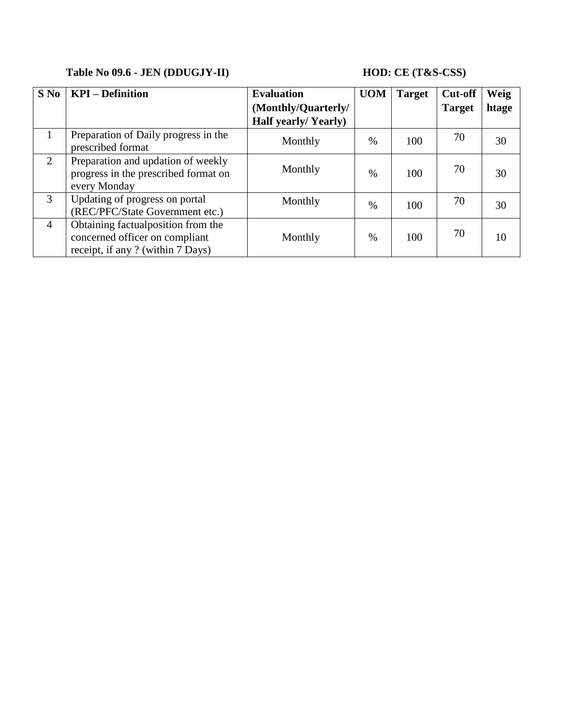# **Table No 09.6 - JEN (DDUGJY-II) HOD: CE (T&S-CSS)**

| $S$ No         | <b>KPI</b> – Definition                                                                                    | <b>Evaluation</b>          | <b>UOM</b> | <b>Target</b> | <b>Cut-off</b> | Weig  |
|----------------|------------------------------------------------------------------------------------------------------------|----------------------------|------------|---------------|----------------|-------|
|                |                                                                                                            | (Monthly/Quarterly/        |            |               | <b>Target</b>  | htage |
|                |                                                                                                            | <b>Half yearly/Yearly)</b> |            |               |                |       |
| $\mathbf{1}$   | Preparation of Daily progress in the<br>prescribed format                                                  | Monthly                    | $\%$       | 100           | 70             | 30    |
| 2              | Preparation and updation of weekly<br>progress in the prescribed format on<br>every Monday                 | Monthly                    | $\%$       | 100           | 70             | 30    |
| 3              | Updating of progress on portal<br>(REC/PFC/State Government etc.)                                          | Monthly                    | $\%$       | 100           | 70             | 30    |
| $\overline{4}$ | Obtaining factual position from the<br>concerned officer on compliant<br>receipt, if any ? (within 7 Days) | Monthly                    | $\%$       | 100           | 70             | 10    |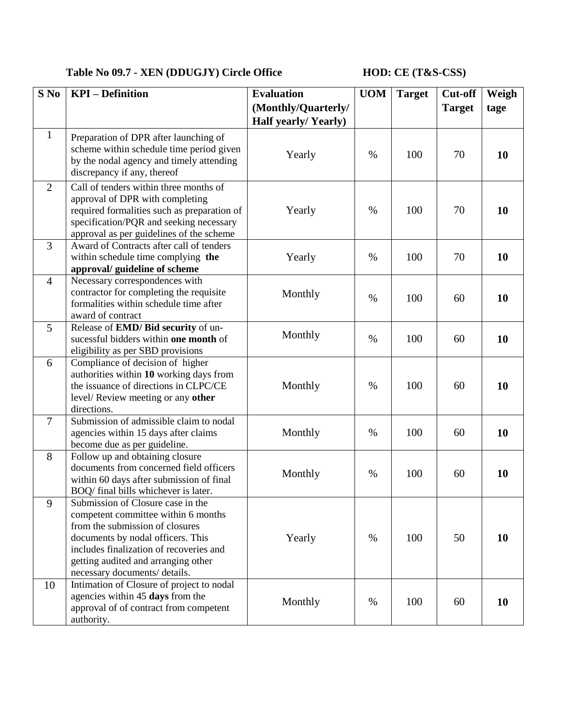# **Table No 09.7 - XEN (DDUGJY) Circle Office HOD: CE (T&S-CSS)**

| $S$ No         | <b>KPI</b> – Definition                                                                                                                                                                                                                                             | <b>Evaluation</b><br>(Monthly/Quarterly/ | <b>UOM</b> | <b>Target</b> | <b>Cut-off</b><br><b>Target</b> | Weigh<br>tage |
|----------------|---------------------------------------------------------------------------------------------------------------------------------------------------------------------------------------------------------------------------------------------------------------------|------------------------------------------|------------|---------------|---------------------------------|---------------|
|                |                                                                                                                                                                                                                                                                     | Half yearly/Yearly)                      |            |               |                                 |               |
| $\mathbf{1}$   | Preparation of DPR after launching of<br>scheme within schedule time period given<br>by the nodal agency and timely attending<br>discrepancy if any, thereof                                                                                                        | Yearly                                   | $\%$       | 100           | 70                              | 10            |
| $\overline{2}$ | Call of tenders within three months of<br>approval of DPR with completing<br>required formalities such as preparation of<br>specification/PQR and seeking necessary<br>approval as per guidelines of the scheme                                                     | Yearly                                   | $\%$       | 100           | 70                              | 10            |
| 3              | Award of Contracts after call of tenders<br>within schedule time complying the<br>approval/ guideline of scheme                                                                                                                                                     | Yearly                                   | $\%$       | 100           | 70                              | 10            |
| $\overline{4}$ | Necessary correspondences with<br>contractor for completing the requisite<br>formalities within schedule time after<br>award of contract                                                                                                                            | Monthly                                  | $\%$       | 100           | 60                              | <b>10</b>     |
| 5              | Release of EMD/ Bid security of un-<br>sucessful bidders within one month of<br>eligibility as per SBD provisions                                                                                                                                                   | Monthly                                  | $\%$       | 100           | 60                              | 10            |
| 6              | Compliance of decision of higher<br>authorities within 10 working days from<br>the issuance of directions in CLPC/CE<br>level/Review meeting or any other<br>directions.                                                                                            | Monthly                                  | $\%$       | 100           | 60                              | 10            |
| $\overline{7}$ | Submission of admissible claim to nodal<br>agencies within 15 days after claims<br>become due as per guideline.                                                                                                                                                     | Monthly                                  | $\%$       | 100           | 60                              | 10            |
| 8              | Follow up and obtaining closure<br>documents from concerned field officers<br>within 60 days after submission of final<br>BOQ/ final bills whichever is later.                                                                                                      | Monthly                                  | $\%$       | 100           | 60                              | 10            |
| 9              | Submission of Closure case in the<br>competent committee within 6 months<br>from the submission of closures<br>documents by nodal officers. This<br>includes finalization of recoveries and<br>getting audited and arranging other<br>necessary documents/ details. | Yearly                                   | $\%$       | 100           | 50                              | 10            |
| 10             | Intimation of Closure of project to nodal<br>agencies within 45 days from the<br>approval of of contract from competent<br>authority.                                                                                                                               | Monthly                                  | %          | 100           | 60                              | 10            |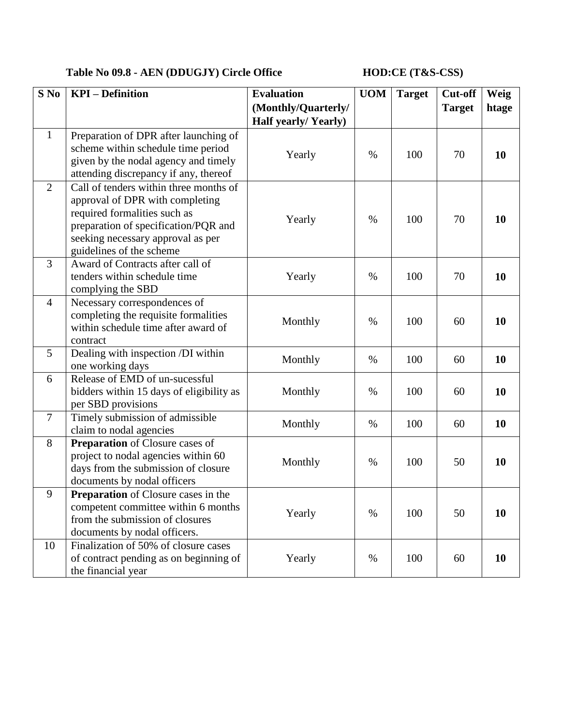# **Table No 09.8 - AEN (DDUGJY) Circle Office HOD:CE (T&S-CSS)**

| S No           | <b>KPI</b> – Definition                                                                                                                                                                                            | <b>Evaluation</b><br>(Monthly/Quarterly/<br>Half yearly/Yearly) | <b>UOM</b> | <b>Target</b> | Cut-off<br><b>Target</b> | Weig<br>htage |
|----------------|--------------------------------------------------------------------------------------------------------------------------------------------------------------------------------------------------------------------|-----------------------------------------------------------------|------------|---------------|--------------------------|---------------|
| $\mathbf{1}$   | Preparation of DPR after launching of<br>scheme within schedule time period<br>given by the nodal agency and timely<br>attending discrepancy if any, thereof                                                       | Yearly                                                          | $\%$       | 100           | 70                       | 10            |
| $\overline{2}$ | Call of tenders within three months of<br>approval of DPR with completing<br>required formalities such as<br>preparation of specification/PQR and<br>seeking necessary approval as per<br>guidelines of the scheme | Yearly                                                          | $\%$       | 100           | 70                       | 10            |
| $\overline{3}$ | Award of Contracts after call of<br>tenders within schedule time<br>complying the SBD                                                                                                                              | Yearly                                                          | $\%$       | 100           | 70                       | 10            |
| $\overline{4}$ | Necessary correspondences of<br>completing the requisite formalities<br>within schedule time after award of<br>contract                                                                                            | Monthly                                                         | %          | 100           | 60                       | 10            |
| 5              | Dealing with inspection /DI within<br>one working days                                                                                                                                                             | Monthly                                                         | $\%$       | 100           | 60                       | 10            |
| 6              | Release of EMD of un-sucessful<br>bidders within 15 days of eligibility as<br>per SBD provisions                                                                                                                   | Monthly                                                         | %          | 100           | 60                       | 10            |
| $\overline{7}$ | Timely submission of admissible<br>claim to nodal agencies                                                                                                                                                         | Monthly                                                         | $\%$       | 100           | 60                       | 10            |
| 8              | Preparation of Closure cases of<br>project to nodal agencies within 60<br>days from the submission of closure<br>documents by nodal officers                                                                       | Monthly                                                         | $\%$       | 100           | 50                       | 10            |
| 9              | Preparation of Closure cases in the<br>competent committee within 6 months<br>from the submission of closures<br>documents by nodal officers.                                                                      | Yearly                                                          | $\%$       | 100           | 50                       | 10            |
| 10             | Finalization of 50% of closure cases<br>of contract pending as on beginning of<br>the financial year                                                                                                               | Yearly                                                          | %          | 100           | 60                       | 10            |